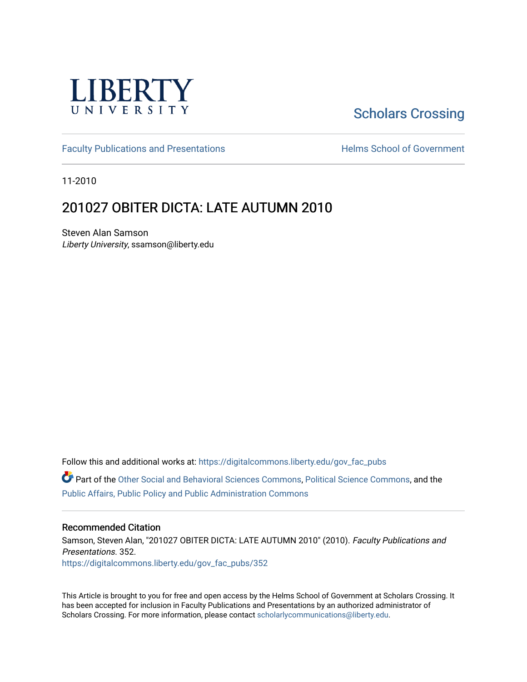

# [Scholars Crossing](https://digitalcommons.liberty.edu/)

[Faculty Publications and Presentations](https://digitalcommons.liberty.edu/gov_fac_pubs) **Exercise School of Government** 

11-2010

## 201027 OBITER DICTA: LATE AUTUMN 2010

Steven Alan Samson Liberty University, ssamson@liberty.edu

Follow this and additional works at: [https://digitalcommons.liberty.edu/gov\\_fac\\_pubs](https://digitalcommons.liberty.edu/gov_fac_pubs?utm_source=digitalcommons.liberty.edu%2Fgov_fac_pubs%2F352&utm_medium=PDF&utm_campaign=PDFCoverPages)

Part of the [Other Social and Behavioral Sciences Commons](http://network.bepress.com/hgg/discipline/437?utm_source=digitalcommons.liberty.edu%2Fgov_fac_pubs%2F352&utm_medium=PDF&utm_campaign=PDFCoverPages), [Political Science Commons](http://network.bepress.com/hgg/discipline/386?utm_source=digitalcommons.liberty.edu%2Fgov_fac_pubs%2F352&utm_medium=PDF&utm_campaign=PDFCoverPages), and the [Public Affairs, Public Policy and Public Administration Commons](http://network.bepress.com/hgg/discipline/393?utm_source=digitalcommons.liberty.edu%2Fgov_fac_pubs%2F352&utm_medium=PDF&utm_campaign=PDFCoverPages)

#### Recommended Citation

Samson, Steven Alan, "201027 OBITER DICTA: LATE AUTUMN 2010" (2010). Faculty Publications and Presentations. 352. [https://digitalcommons.liberty.edu/gov\\_fac\\_pubs/352](https://digitalcommons.liberty.edu/gov_fac_pubs/352?utm_source=digitalcommons.liberty.edu%2Fgov_fac_pubs%2F352&utm_medium=PDF&utm_campaign=PDFCoverPages)

This Article is brought to you for free and open access by the Helms School of Government at Scholars Crossing. It has been accepted for inclusion in Faculty Publications and Presentations by an authorized administrator of Scholars Crossing. For more information, please contact [scholarlycommunications@liberty.edu.](mailto:scholarlycommunications@liberty.edu)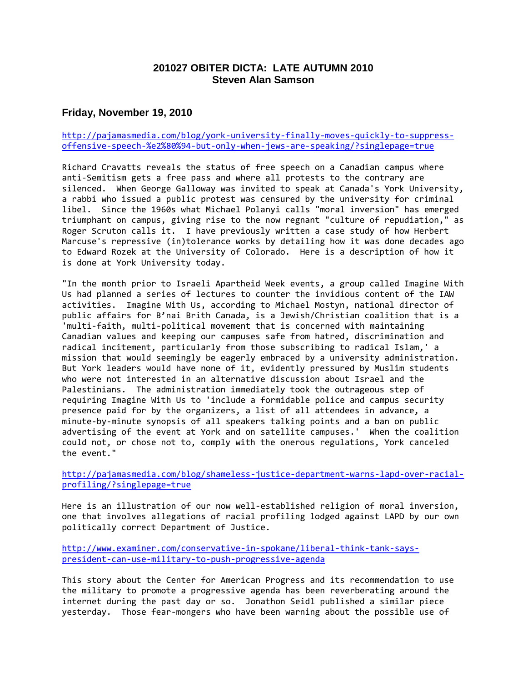## **201027 OBITER DICTA: LATE AUTUMN 2010 Steven Alan Samson**

## **Friday, November 19, 2010**

#### [http://pajamasmedia.com/blog/york-university-finally-moves-quickly-to-suppress](http://pajamasmedia.com/blog/york-university-finally-moves-quickly-to-suppress-offensive-speech-%e2%80%94-but-only-when-jews-are-speaking/?singlepage=true)[offensive-speech-%e2%80%94-but-only-when-jews-are-speaking/?singlepage=true](http://pajamasmedia.com/blog/york-university-finally-moves-quickly-to-suppress-offensive-speech-%e2%80%94-but-only-when-jews-are-speaking/?singlepage=true)

Richard Cravatts reveals the status of free speech on a Canadian campus where anti-Semitism gets a free pass and where all protests to the contrary are silenced. When George Galloway was invited to speak at Canada's York University, a rabbi who issued a public protest was censured by the university for criminal libel. Since the 1960s what Michael Polanyi calls "moral inversion" has emerged triumphant on campus, giving rise to the now regnant "culture of repudiation," as Roger Scruton calls it. I have previously written a case study of how Herbert Marcuse's repressive (in)tolerance works by detailing how it was done decades ago to Edward Rozek at the University of Colorado. Here is a description of how it is done at York University today.

"In the month prior to Israeli Apartheid Week events, a group called Imagine With Us had planned a series of lectures to counter the invidious content of the IAW activities. Imagine With Us, according to Michael Mostyn, national director of public affairs for B'nai Brith Canada, is a Jewish/Christian coalition that is a 'multi-faith, multi-political movement that is concerned with maintaining Canadian values and keeping our campuses safe from hatred, discrimination and radical incitement, particularly from those subscribing to radical Islam,' a mission that would seemingly be eagerly embraced by a university administration. But York leaders would have none of it, evidently pressured by Muslim students who were not interested in an alternative discussion about Israel and the Palestinians. The administration immediately took the outrageous step of requiring Imagine With Us to 'include a formidable police and campus security presence paid for by the organizers, a list of all attendees in advance, a minute-by-minute synopsis of all speakers talking points and a ban on public advertising of the event at York and on satellite campuses.' When the coalition could not, or chose not to, comply with the onerous regulations, York canceled the event."

[http://pajamasmedia.com/blog/shameless-justice-department-warns-lapd-over-racial](http://pajamasmedia.com/blog/shameless-justice-department-warns-lapd-over-racial-profiling/?singlepage=true)[profiling/?singlepage=true](http://pajamasmedia.com/blog/shameless-justice-department-warns-lapd-over-racial-profiling/?singlepage=true)

Here is an illustration of our now well-established religion of moral inversion, one that involves allegations of racial profiling lodged against LAPD by our own politically correct Department of Justice.

[http://www.examiner.com/conservative-in-spokane/liberal-think-tank-says](http://www.examiner.com/conservative-in-spokane/liberal-think-tank-says-president-can-use-military-to-push-progressive-agenda)[president-can-use-military-to-push-progressive-agenda](http://www.examiner.com/conservative-in-spokane/liberal-think-tank-says-president-can-use-military-to-push-progressive-agenda)

This story about the Center for American Progress and its recommendation to use the military to promote a progressive agenda has been reverberating around the internet during the past day or so. Jonathon Seidl published a similar piece yesterday. Those fear-mongers who have been warning about the possible use of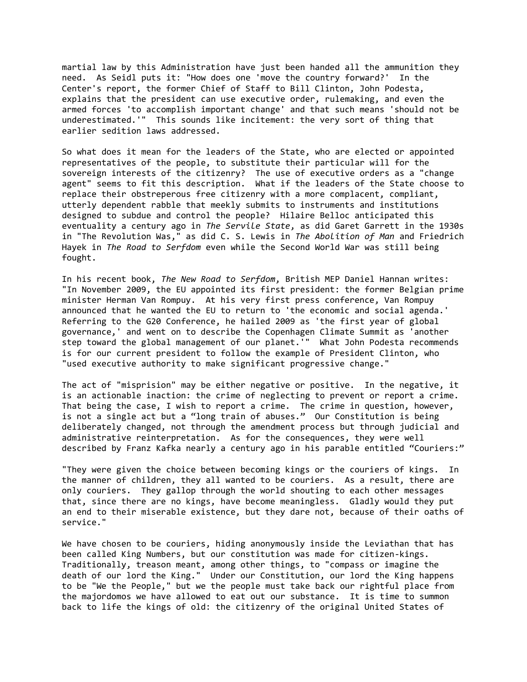martial law by this Administration have just been handed all the ammunition they need. As Seidl puts it: "How does one 'move the country forward?' In the Center's report, the former Chief of Staff to Bill Clinton, John Podesta, explains that the president can use executive order, rulemaking, and even the armed forces 'to accomplish important change' and that such means 'should not be underestimated.'" This sounds like incitement: the very sort of thing that earlier sedition laws addressed.

So what does it mean for the leaders of the State, who are elected or appointed representatives of the people, to substitute their particular will for the sovereign interests of the citizenry? The use of executive orders as a "change agent" seems to fit this description. What if the leaders of the State choose to replace their obstreperous free citizenry with a more complacent, compliant, utterly dependent rabble that meekly submits to instruments and institutions designed to subdue and control the people? Hilaire Belloc anticipated this eventuality a century ago in *The Servile State*, as did Garet Garrett in the 1930s in "The Revolution Was," as did C. S. Lewis in *The Abolition of Man* and Friedrich Hayek in *The Road to Serfdom* even while the Second World War was still being fought.

In his recent book, *The New Road to Serfdom*, British MEP Daniel Hannan writes: "In November 2009, the EU appointed its first president: the former Belgian prime minister Herman Van Rompuy. At his very first press conference, Van Rompuy announced that he wanted the EU to return to 'the economic and social agenda.' Referring to the G20 Conference, he hailed 2009 as 'the first year of global governance,' and went on to describe the Copenhagen Climate Summit as 'another step toward the global management of our planet.'" What John Podesta recommends is for our current president to follow the example of President Clinton, who "used executive authority to make significant progressive change."

The act of "misprision" may be either negative or positive. In the negative, it is an actionable inaction: the crime of neglecting to prevent or report a crime. That being the case, I wish to report a crime. The crime in question, however, is not a single act but a "long train of abuses." Our Constitution is being deliberately changed, not through the amendment process but through judicial and administrative reinterpretation. As for the consequences, they were well described by Franz Kafka nearly a century ago in his parable entitled "Couriers:"

"They were given the choice between becoming kings or the couriers of kings. In the manner of children, they all wanted to be couriers. As a result, there are only couriers. They gallop through the world shouting to each other messages that, since there are no kings, have become meaningless. Gladly would they put an end to their miserable existence, but they dare not, because of their oaths of service."

We have chosen to be couriers, hiding anonymously inside the Leviathan that has been called King Numbers, but our constitution was made for citizen-kings. Traditionally, treason meant, among other things, to "compass or imagine the death of our lord the King." Under our Constitution, our lord the King happens to be "We the People," but we the people must take back our rightful place from the majordomos we have allowed to eat out our substance. It is time to summon back to life the kings of old: the citizenry of the original United States of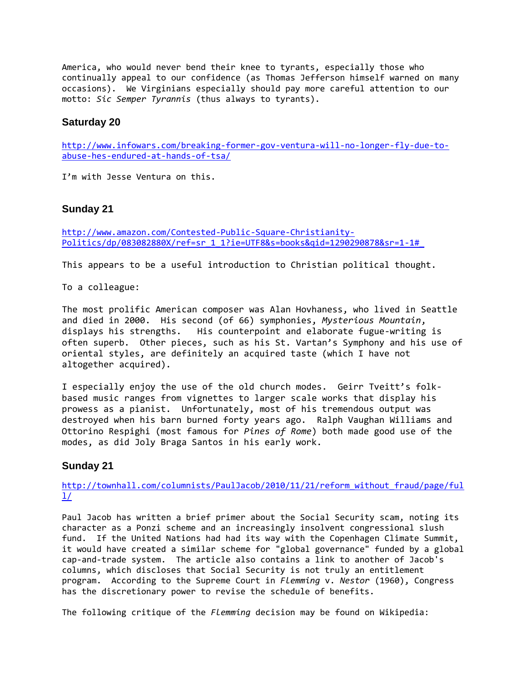America, who would never bend their knee to tyrants, especially those who continually appeal to our confidence (as Thomas Jefferson himself warned on many occasions). We Virginians especially should pay more careful attention to our motto: *Sic Semper Tyrannis* (thus always to tyrants).

#### **Saturday 20**

[http://www.infowars.com/breaking-former-gov-ventura-will-no-longer-fly-due-to](http://www.infowars.com/breaking-former-gov-ventura-will-no-longer-fly-due-to-abuse-hes-endured-at-hands-of-tsa/)[abuse-hes-endured-at-hands-of-tsa/](http://www.infowars.com/breaking-former-gov-ventura-will-no-longer-fly-due-to-abuse-hes-endured-at-hands-of-tsa/)

I'm with Jesse Ventura on this.

#### **Sunday 21**

[http://www.amazon.com/Contested-Public-Square-Christianity-](http://www.amazon.com/Contested-Public-Square-Christianity-Politics/dp/083082880X/ref=sr_1_1?ie=UTF8&s=books&qid=1290290878&sr=1-1#_)[Politics/dp/083082880X/ref=sr\\_1\\_1?ie=UTF8&s=books&qid=1290290878&sr=1-1#\\_](http://www.amazon.com/Contested-Public-Square-Christianity-Politics/dp/083082880X/ref=sr_1_1?ie=UTF8&s=books&qid=1290290878&sr=1-1#_)

This appears to be a useful introduction to Christian political thought.

To a colleague:

The most prolific American composer was Alan Hovhaness, who lived in Seattle and died in 2000. His second (of 66) symphonies, *Mysterious Mountain*, displays his strengths. His counterpoint and elaborate fugue-writing is often superb. Other pieces, such as his St. Vartan's Symphony and his use of oriental styles, are definitely an acquired taste (which I have not altogether acquired).

I especially enjoy the use of the old church modes. Geirr Tveitt's folkbased music ranges from vignettes to larger scale works that display his prowess as a pianist. Unfortunately, most of his tremendous output was destroyed when his barn burned forty years ago. Ralph Vaughan Williams and Ottorino Respighi (most famous for *Pines of Rome*) both made good use of the modes, as did Joly Braga Santos in his early work.

#### **Sunday 21**

[http://townhall.com/columnists/PaulJacob/2010/11/21/reform\\_without\\_fraud/page/ful](http://townhall.com/columnists/PaulJacob/2010/11/21/reform_without_fraud/page/full/)  $1/$ 

Paul Jacob has written a brief primer about the Social Security scam, noting its character as a Ponzi scheme and an increasingly insolvent congressional slush fund. If the United Nations had had its way with the Copenhagen Climate Summit, it would have created a similar scheme for "global governance" funded by a global cap-and-trade system. The article also contains a link to another of Jacob's columns, which discloses that Social Security is not truly an entitlement program. According to the Supreme Court in *Flemming* v. *Nestor* (1960), Congress has the discretionary power to revise the schedule of benefits.

The following critique of the *Flemming* decision may be found on Wikipedia: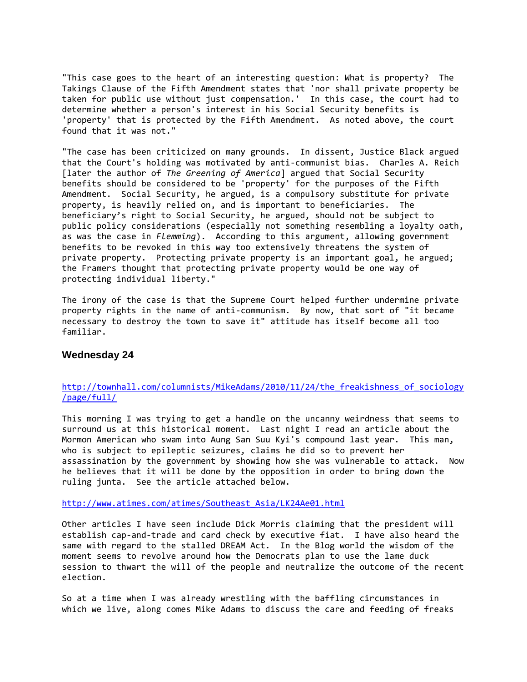"This case goes to the heart of an interesting question: What is property? The Takings Clause of the Fifth Amendment states that 'nor shall private property be taken for public use without just compensation.' In this case, the court had to determine whether a person's interest in his Social Security benefits is 'property' that is protected by the Fifth Amendment. As noted above, the court found that it was not."

"The case has been criticized on many grounds. In dissent, Justice Black argued that the Court's holding was motivated by anti-communist bias. Charles A. Reich [later the author of *The Greening of America*] argued that Social Security benefits should be considered to be 'property' for the purposes of the Fifth Amendment. Social Security, he argued, is a compulsory substitute for private property, is heavily relied on, and is important to beneficiaries. The beneficiary's right to Social Security, he argued, should not be subject to public policy considerations (especially not something resembling a loyalty oath, as was the case in *Flemming*). According to this argument, allowing government benefits to be revoked in this way too extensively threatens the system of private property. Protecting private property is an important goal, he argued; the Framers thought that protecting private property would be one way of protecting individual liberty."

The irony of the case is that the Supreme Court helped further undermine private property rights in the name of anti-communism. By now, that sort of "it became necessary to destroy the town to save it" attitude has itself become all too familiar.

#### **Wednesday 24**

#### [http://townhall.com/columnists/MikeAdams/2010/11/24/the\\_freakishness\\_of\\_sociology](http://townhall.com/columnists/MikeAdams/2010/11/24/the_freakishness_of_sociology/page/full/) [/page/full/](http://townhall.com/columnists/MikeAdams/2010/11/24/the_freakishness_of_sociology/page/full/)

This morning I was trying to get a handle on the uncanny weirdness that seems to surround us at this historical moment. Last night I read an article about the Mormon American who swam into Aung San Suu Kyi's compound last year. This man, who is subject to epileptic seizures, claims he did so to prevent her assassination by the government by showing how she was vulnerable to attack. Now he believes that it will be done by the opposition in order to bring down the ruling junta. See the article attached below.

[http://www.atimes.com/atimes/Southeast\\_Asia/LK24Ae01.html](http://www.atimes.com/atimes/Southeast_Asia/LK24Ae01.html)

Other articles I have seen include Dick Morris claiming that the president will establish cap-and-trade and card check by executive fiat. I have also heard the same with regard to the stalled DREAM Act. In the Blog world the wisdom of the moment seems to revolve around how the Democrats plan to use the lame duck session to thwart the will of the people and neutralize the outcome of the recent election.

So at a time when I was already wrestling with the baffling circumstances in which we live, along comes Mike Adams to discuss the care and feeding of freaks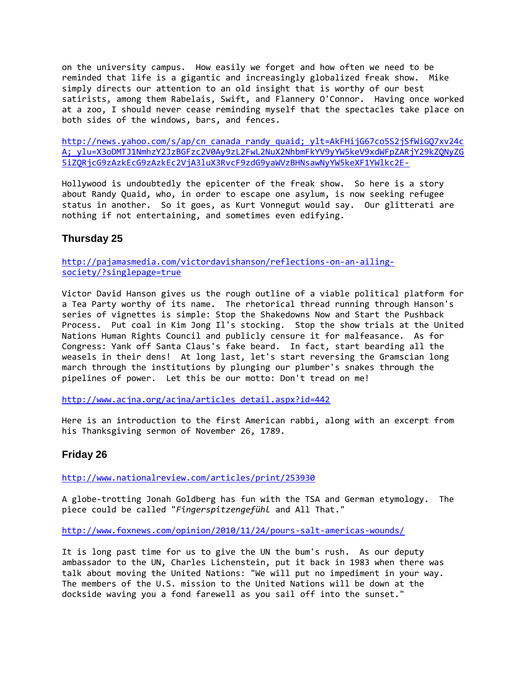on the university campus. How easily we forget and how often we need to be reminded that life is a gigantic and increasingly globalized freak show. Mike simply directs our attention to an old insight that is worthy of our best satirists, among them Rabelais, Swift, and Flannery O'Connor. Having once worked at a zoo, I should never cease reminding myself that the spectacles take place on both sides of the windows, bars, and fences.

[http://news.yahoo.com/s/ap/cn\\_canada\\_randy\\_quaid;\\_ylt=AkFHijG67co5S2jSfWiGQ7xv24c](http://news.yahoo.com/s/ap/cn_canada_randy_quaid;_ylt=AkFHijG67co5S2jSfWiGQ7xv24cA;_ylu=X3oDMTJ1NmhzY2JzBGFzc2V0Ay9zL2FwL2NuX2NhbmFkYV9yYW5keV9xdWFpZARjY29kZQNyZG5iZQRjcG9zAzkEcG9zAzkEc2VjA3luX3RvcF9zdG9yaWVzBHNsawNyYW5keXF1YWlkc2E-) A; ylu=X3oDMTJ1NmhzY2JzBGFzc2V0Ay9zL2FwL2NuX2NhbmFkYV9yYW5keV9xdWFpZARjY29kZQNyZG [5iZQRjcG9zAzkEcG9zAzkEc2VjA3luX3RvcF9zdG9yaWVzBHNsawNyYW5keXF1YWlkc2E-](http://news.yahoo.com/s/ap/cn_canada_randy_quaid;_ylt=AkFHijG67co5S2jSfWiGQ7xv24cA;_ylu=X3oDMTJ1NmhzY2JzBGFzc2V0Ay9zL2FwL2NuX2NhbmFkYV9yYW5keV9xdWFpZARjY29kZQNyZG5iZQRjcG9zAzkEcG9zAzkEc2VjA3luX3RvcF9zdG9yaWVzBHNsawNyYW5keXF1YWlkc2E-)

Hollywood is undoubtedly the epicenter of the freak show. So here is a story about Randy Quaid, who, in order to escape one asylum, is now seeking refugee status in another. So it goes, as Kurt Vonnegut would say. Our glitterati are nothing if not entertaining, and sometimes even edifying.

## **Thursday 25**

[http://pajamasmedia.com/victordavishanson/reflections-on-an-ailing](http://pajamasmedia.com/victordavishanson/reflections-on-an-ailing-society/?singlepage=true)[society/?singlepage=true](http://pajamasmedia.com/victordavishanson/reflections-on-an-ailing-society/?singlepage=true)

Victor David Hanson gives us the rough outline of a viable political platform for a Tea Party worthy of its name. The rhetorical thread running through Hanson's series of vignettes is simple: Stop the Shakedowns Now and Start the Pushback Process. Put coal in Kim Jong Il's stocking. Stop the show trials at the United Nations Human Rights Council and publicly censure it for malfeasance. As for Congress: Yank off Santa Claus's fake beard. In fact, start bearding all the weasels in their dens! At long last, let's start reversing the Gramscian long march through the institutions by plunging our plumber's snakes through the pipelines of power. Let this be our motto: Don't tread on me!

[http://www.acjna.org/acjna/articles\\_detail.aspx?id=442](http://www.acjna.org/acjna/articles_detail.aspx?id=442)

Here is an introduction to the first American rabbi, along with an excerpt from his Thanksgiving sermon of November 26, 1789.

## **Friday 26**

<http://www.nationalreview.com/articles/print/253930>

A globe-trotting Jonah Goldberg has fun with the TSA and German etymology. The piece could be called "*Fingerspitzengefühl* and All That."

<http://www.foxnews.com/opinion/2010/11/24/pours-salt-americas-wounds/>

It is long past time for us to give the UN the bum's rush. As our deputy ambassador to the UN, Charles Lichenstein, put it back in 1983 when there was talk about moving the United Nations: "We will put no impediment in your way. The members of the U.S. mission to the United Nations will be down at the dockside waving you a fond farewell as you sail off into the sunset."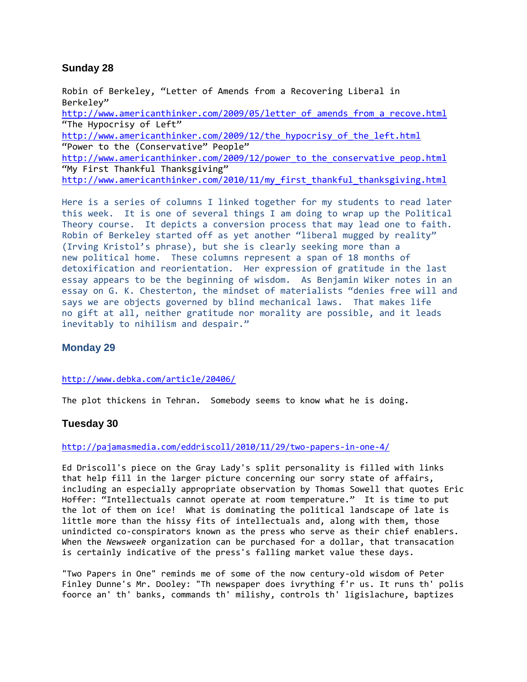## **Sunday 28**

Robin of Berkeley, "Letter of Amends from a Recovering Liberal in Berkeley" http://www.americanthinker.com/2009/05/letter of amends from a recove.html "The Hypocrisy of Left" [http://www.americanthinker.com/2009/12/the\\_hypocrisy\\_of\\_the\\_left.html](http://www.americanthinker.com/2009/12/the_hypocrisy_of_the_left.html) "Power to the (Conservative" People" [http://www.americanthinker.com/2009/12/power\\_to\\_the\\_conservative\\_peop.html](http://www.americanthinker.com/2009/12/power_to_the_conservative_peop.html) "My First Thankful Thanksgiving" [http://www.americanthinker.com/2010/11/my\\_first\\_thankful\\_thanksgiving.html](http://www.americanthinker.com/2010/11/my_first_thankful_thanksgiving.html)

Here is a series of columns I linked together for my students to read later this week. It is one of several things I am doing to wrap up the Political Theory course. It depicts a conversion process that may lead one to faith. Robin of Berkeley started off as yet another "liberal mugged by reality" (Irving Kristol's phrase), but she is clearly seeking more than a new political home. These columns represent a span of 18 months of detoxification and reorientation. Her expression of gratitude in the last essay appears to be the beginning of wisdom. As Benjamin Wiker notes in an essay on G. K. Chesterton, the mindset of materialists "denies free will and says we are objects governed by blind mechanical laws. That makes life no gift at all, neither gratitude nor morality are possible, and it leads inevitably to nihilism and despair."

## **Monday 29**

#### <http://www.debka.com/article/20406/>

The plot thickens in Tehran. Somebody seems to know what he is doing.

## **Tuesday 30**

#### <http://pajamasmedia.com/eddriscoll/2010/11/29/two-papers-in-one-4/>

Ed Driscoll's piece on the Gray Lady's split personality is filled with links that help fill in the larger picture concerning our sorry state of affairs, including an especially appropriate observation by Thomas Sowell that quotes Eric Hoffer: "Intellectuals cannot operate at room temperature." It is time to put the lot of them on ice! What is dominating the political landscape of late is little more than the hissy fits of intellectuals and, along with them, those unindicted co-conspirators known as the press who serve as their chief enablers. When the *Newsweek* organization can be purchased for a dollar, that transacation is certainly indicative of the press's falling market value these days.

"Two Papers in One" reminds me of some of the now century-old wisdom of Peter Finley Dunne's Mr. Dooley: "Th newspaper does ivrything f'r us. It runs th' polis foorce an' th' banks, commands th' milishy, controls th' ligislachure, baptizes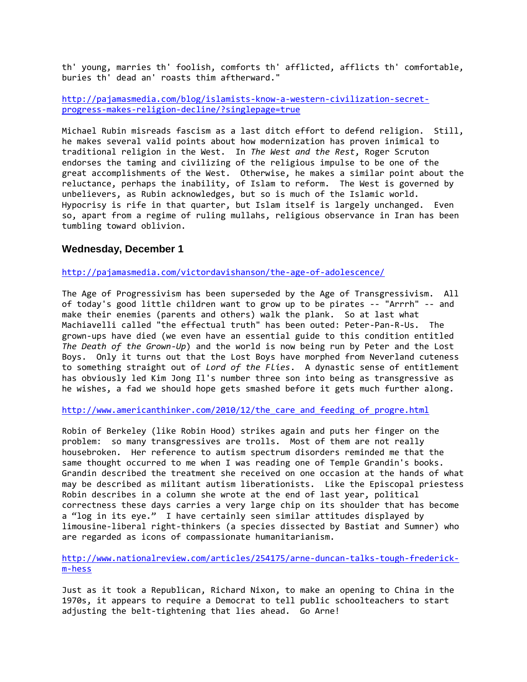th' young, marries th' foolish, comforts th' afflicted, afflicts th' comfortable, buries th' dead an' roasts thim aftherward."

[http://pajamasmedia.com/blog/islamists-know-a-western-civilization-secret](http://pajamasmedia.com/blog/islamists-know-a-western-civilization-secret-progress-makes-religion-decline/?singlepage=true)[progress-makes-religion-decline/?singlepage=true](http://pajamasmedia.com/blog/islamists-know-a-western-civilization-secret-progress-makes-religion-decline/?singlepage=true)

Michael Rubin misreads fascism as a last ditch effort to defend religion. Still, he makes several valid points about how modernization has proven inimical to traditional religion in the West. In *The West and the Rest*, Roger Scruton endorses the taming and civilizing of the religious impulse to be one of the great accomplishments of the West. Otherwise, he makes a similar point about the reluctance, perhaps the inability, of Islam to reform. The West is governed by unbelievers, as Rubin acknowledges, but so is much of the Islamic world. Hypocrisy is rife in that quarter, but Islam itself is largely unchanged. Even so, apart from a regime of ruling mullahs, religious observance in Iran has been tumbling toward oblivion.

#### **Wednesday, December 1**

<http://pajamasmedia.com/victordavishanson/the-age-of-adolescence/>

The Age of Progressivism has been superseded by the Age of Transgressivism. All of today's good little children want to grow up to be pirates -- "Arrrh" -- and make their enemies (parents and others) walk the plank. So at last what Machiavelli called "the effectual truth" has been outed: Peter-Pan-R-Us. The grown-ups have died (we even have an essential guide to this condition entitled *The Death of the Grown-Up*) and the world is now being run by Peter and the Lost Boys. Only it turns out that the Lost Boys have morphed from Neverland cuteness to something straight out of *Lord of the Flies*. A dynastic sense of entitlement has obviously led Kim Jong Il's number three son into being as transgressive as he wishes, a fad we should hope gets smashed before it gets much further along.

http://www.americanthinker.com/2010/12/the care and feeding of progre.html

Robin of Berkeley (like Robin Hood) strikes again and puts her finger on the problem: so many transgressives are trolls. Most of them are not really housebroken. Her reference to autism spectrum disorders reminded me that the same thought occurred to me when I was reading one of Temple Grandin's books. Grandin described the treatment she received on one occasion at the hands of what may be described as militant autism liberationists. Like the Episcopal priestess Robin describes in a column she wrote at the end of last year, political correctness these days carries a very large chip on its shoulder that has become a "log in its eye." I have certainly seen similar attitudes displayed by limousine-liberal right-thinkers (a species dissected by Bastiat and Sumner) who are regarded as icons of compassionate humanitarianism.

[http://www.nationalreview.com/articles/254175/arne-duncan-talks-tough-frederick](http://www.nationalreview.com/articles/254175/arne-duncan-talks-tough-frederick-m-hess)[m-hess](http://www.nationalreview.com/articles/254175/arne-duncan-talks-tough-frederick-m-hess)

Just as it took a Republican, Richard Nixon, to make an opening to China in the 1970s, it appears to require a Democrat to tell public schoolteachers to start adjusting the belt-tightening that lies ahead. Go Arne!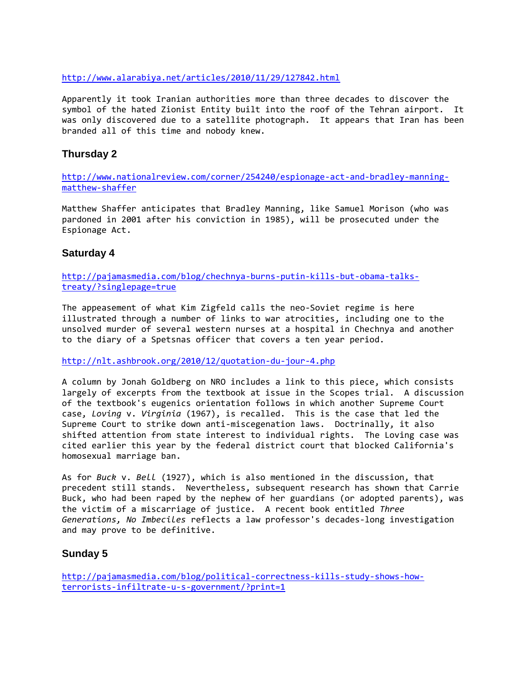<http://www.alarabiya.net/articles/2010/11/29/127842.html>

Apparently it took Iranian authorities more than three decades to discover the symbol of the hated Zionist Entity built into the roof of the Tehran airport. It was only discovered due to a satellite photograph. It appears that Iran has been branded all of this time and nobody knew.

## **Thursday 2**

[http://www.nationalreview.com/corner/254240/espionage-act-and-bradley-manning](http://www.nationalreview.com/corner/254240/espionage-act-and-bradley-manning-matthew-shaffer)[matthew-shaffer](http://www.nationalreview.com/corner/254240/espionage-act-and-bradley-manning-matthew-shaffer)

Matthew Shaffer anticipates that Bradley Manning, like Samuel Morison (who was pardoned in 2001 after his conviction in 1985), will be prosecuted under the Espionage Act.

## **Saturday 4**

[http://pajamasmedia.com/blog/chechnya-burns-putin-kills-but-obama-talks](http://pajamasmedia.com/blog/chechnya-burns-putin-kills-but-obama-talks-treaty/?singlepage=true)[treaty/?singlepage=true](http://pajamasmedia.com/blog/chechnya-burns-putin-kills-but-obama-talks-treaty/?singlepage=true)

The appeasement of what Kim Zigfeld calls the neo-Soviet regime is here illustrated through a number of links to war atrocities, including one to the unsolved murder of several western nurses at a hospital in Chechnya and another to the diary of a Spetsnas officer that covers a ten year period.

<http://nlt.ashbrook.org/2010/12/quotation-du-jour-4.php>

A column by Jonah Goldberg on NRO includes a link to this piece, which consists largely of excerpts from the textbook at issue in the Scopes trial. A discussion of the textbook's eugenics orientation follows in which another Supreme Court case, *Loving* v. *Virginia* (1967), is recalled. This is the case that led the Supreme Court to strike down anti-miscegenation laws. Doctrinally, it also shifted attention from state interest to individual rights. The Loving case was cited earlier this year by the federal district court that blocked California's homosexual marriage ban.

As for *Buck* v. *Bell* (1927), which is also mentioned in the discussion, that precedent still stands. Nevertheless, subsequent research has shown that Carrie Buck, who had been raped by the nephew of her guardians (or adopted parents), was the victim of a miscarriage of justice. A recent book entitled *Three Generations, No Imbeciles* reflects a law professor's decades-long investigation and may prove to be definitive.

## **Sunday 5**

[http://pajamasmedia.com/blog/political-correctness-kills-study-shows-how](http://pajamasmedia.com/blog/political-correctness-kills-study-shows-how-terrorists-infiltrate-u-s-government/?print=1)[terrorists-infiltrate-u-s-government/?print=1](http://pajamasmedia.com/blog/political-correctness-kills-study-shows-how-terrorists-infiltrate-u-s-government/?print=1)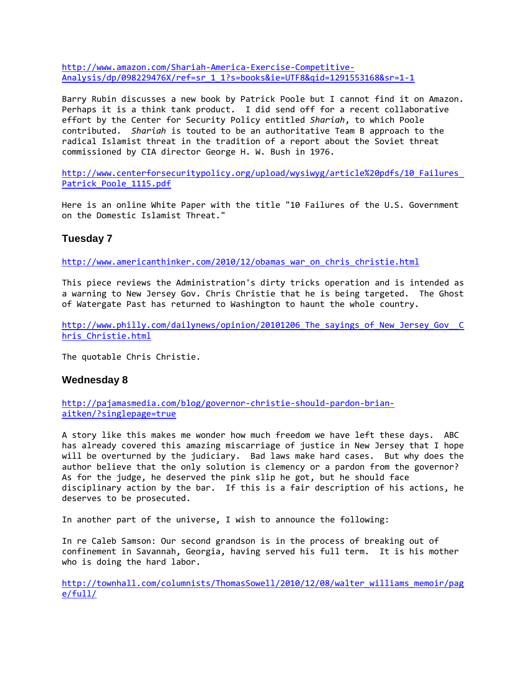[http://www.amazon.com/Shariah-America-Exercise-Competitive-](http://www.amazon.com/Shariah-America-Exercise-Competitive-Analysis/dp/098229476X/ref=sr_1_1?s=books&ie=UTF8&qid=1291553168&sr=1-1)[Analysis/dp/098229476X/ref=sr\\_1\\_1?s=books&ie=UTF8&qid=1291553168&sr=1-1](http://www.amazon.com/Shariah-America-Exercise-Competitive-Analysis/dp/098229476X/ref=sr_1_1?s=books&ie=UTF8&qid=1291553168&sr=1-1)

Barry Rubin discusses a new book by Patrick Poole but I cannot find it on Amazon. Perhaps it is a think tank product. I did send off for a recent collaborative effort by the Center for Security Policy entitled *Shariah*, to which Poole contributed. *Shariah* is touted to be an authoritative Team B approach to the radical Islamist threat in the tradition of a report about the Soviet threat commissioned by CIA director George H. W. Bush in 1976.

http://www.centerforsecuritypolicy.org/upload/wysiwyg/article%20pdfs/10 Failures\_ [Patrick\\_Poole\\_1115.pdf](http://www.centerforsecuritypolicy.org/upload/wysiwyg/article%20pdfs/10_Failures_Patrick_Poole_1115.pdf)

Here is an online White Paper with the title "10 Failures of the U.S. Government on the Domestic Islamist Threat."

## **Tuesday 7**

[http://www.americanthinker.com/2010/12/obamas\\_war\\_on\\_chris\\_christie.html](http://www.americanthinker.com/2010/12/obamas_war_on_chris_christie.html)

This piece reviews the Administration's dirty tricks operation and is intended as a warning to New Jersey Gov. Chris Christie that he is being targeted. The Ghost of Watergate Past has returned to Washington to haunt the whole country.

http://www.philly.com/dailynews/opinion/20101206 The sayings of New Jersey Gov C [hris\\_Christie.html](http://www.philly.com/dailynews/opinion/20101206_The_sayings_of_New_Jersey_Gov__Chris_Christie.html)

The quotable Chris Christie.

## **Wednesday 8**

[http://pajamasmedia.com/blog/governor-christie-should-pardon-brian](http://pajamasmedia.com/blog/governor-christie-should-pardon-brian-aitken/?singlepage=true)[aitken/?singlepage=true](http://pajamasmedia.com/blog/governor-christie-should-pardon-brian-aitken/?singlepage=true)

A story like this makes me wonder how much freedom we have left these days. ABC has already covered this amazing miscarriage of justice in New Jersey that I hope will be overturned by the judiciary. Bad laws make hard cases. But why does the author believe that the only solution is clemency or a pardon from the governor? As for the judge, he deserved the pink slip he got, but he should face disciplinary action by the bar. If this is a fair description of his actions, he deserves to be prosecuted.

In another part of the universe, I wish to announce the following:

In re Caleb Samson: Our second grandson is in the process of breaking out of confinement in Savannah, Georgia, having served his full term. It is his mother who is doing the hard labor.

[http://townhall.com/columnists/ThomasSowell/2010/12/08/walter\\_williams\\_memoir/pag](http://townhall.com/columnists/ThomasSowell/2010/12/08/walter_williams_memoir/page/full/) [e/full/](http://townhall.com/columnists/ThomasSowell/2010/12/08/walter_williams_memoir/page/full/)